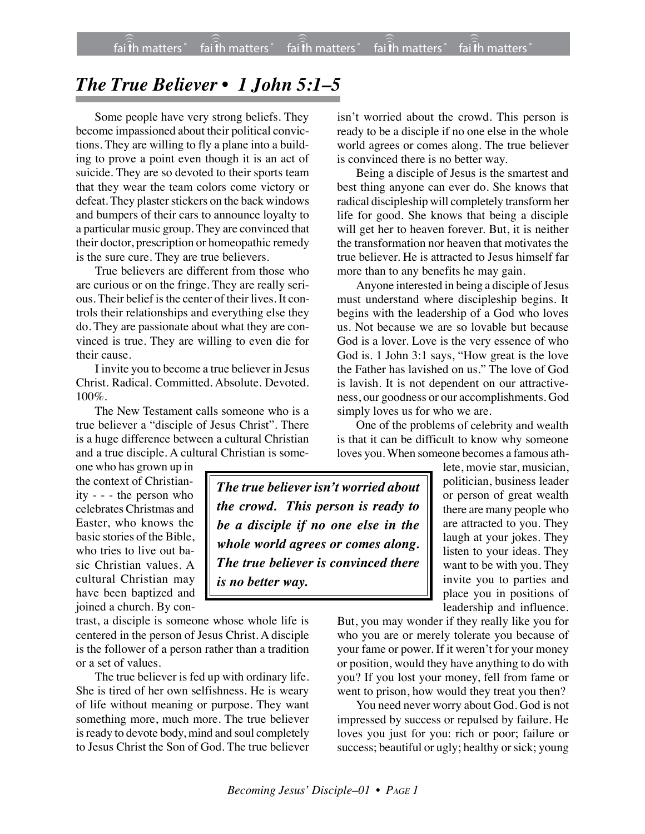## *The True Believer • 1 John 5:1–5*

Some people have very strong beliefs. They become impassioned about their political convictions. They are willing to fly a plane into a building to prove a point even though it is an act of suicide. They are so devoted to their sports team that they wear the team colors come victory or defeat. They plaster stickers on the back windows and bumpers of their cars to announce loyalty to a particular music group. They are convinced that their doctor, prescription or homeopathic remedy is the sure cure. They are true believers.

True believers are different from those who are curious or on the fringe. They are really serious. Their belief is the center of their lives. It controls their relationships and everything else they do. They are passionate about what they are convinced is true. They are willing to even die for their cause.

I invite you to become a true believer in Jesus Christ. Radical. Committed. Absolute. Devoted. 100%.

The New Testament calls someone who is a true believer a "disciple of Jesus Christ". There is a huge difference between a cultural Christian and a true disciple. A cultural Christian is some-

one who has grown up in the context of Christianity - - - the person who celebrates Christmas and Easter, who knows the basic stories of the Bible, who tries to live out basic Christian values. A cultural Christian may have been baptized and joined a church. By con-

trast, a disciple is someone whose whole life is centered in the person of Jesus Christ. A disciple is the follower of a person rather than a tradition or a set of values.

The true believer is fed up with ordinary life. She is tired of her own selfishness. He is weary of life without meaning or purpose. They want something more, much more. The true believer is ready to devote body, mind and soul completely to Jesus Christ the Son of God. The true believer

isn't worried about the crowd. This person is ready to be a disciple if no one else in the whole world agrees or comes along. The true believer is convinced there is no better way.

Being a disciple of Jesus is the smartest and best thing anyone can ever do. She knows that radical discipleship will completely transform her life for good. She knows that being a disciple will get her to heaven forever. But, it is neither the transformation nor heaven that motivates the true believer. He is attracted to Jesus himself far more than to any benefits he may gain.

Anyone interested in being a disciple of Jesus must understand where discipleship begins. It begins with the leadership of a God who loves us. Not because we are so lovable but because God is a lover. Love is the very essence of who God is. 1 John 3:1 says, "How great is the love the Father has lavished on us." The love of God is lavish. It is not dependent on our attractiveness, our goodness or our accomplishments. God simply loves us for who we are.

One of the problems of celebrity and wealth is that it can be difficult to know why someone loves you. When someone becomes a famous ath-

*The true believer isn't worried about the crowd. This person is ready to be a disciple if no one else in the whole world agrees or comes along. The true believer is convinced there is no better way.*

lete, movie star, musician, politician, business leader or person of great wealth there are many people who are attracted to you. They laugh at your jokes. They listen to your ideas. They want to be with you. They invite you to parties and place you in positions of leadership and influence.

But, you may wonder if they really like you for who you are or merely tolerate you because of your fame or power. If it weren't for your money or position, would they have anything to do with you? If you lost your money, fell from fame or went to prison, how would they treat you then?

You need never worry about God. God is not impressed by success or repulsed by failure. He loves you just for you: rich or poor; failure or success; beautiful or ugly; healthy or sick; young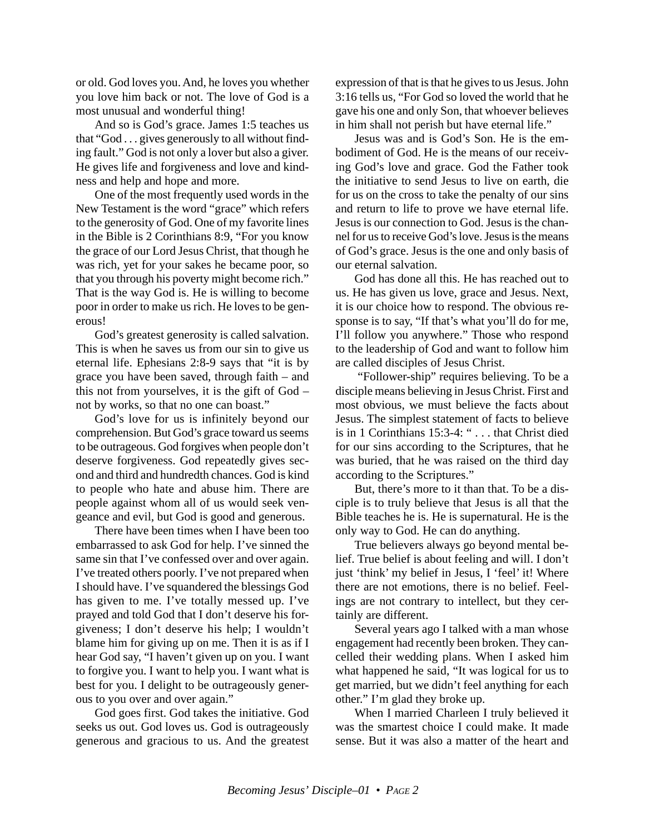or old. God loves you. And, he loves you whether you love him back or not. The love of God is a most unusual and wonderful thing!

And so is God's grace. James 1:5 teaches us that "God . . . gives generously to all without finding fault." God is not only a lover but also a giver. He gives life and forgiveness and love and kindness and help and hope and more.

One of the most frequently used words in the New Testament is the word "grace" which refers to the generosity of God. One of my favorite lines in the Bible is 2 Corinthians 8:9, "For you know the grace of our Lord Jesus Christ, that though he was rich, yet for your sakes he became poor, so that you through his poverty might become rich." That is the way God is. He is willing to become poor in order to make us rich. He loves to be generous!

God's greatest generosity is called salvation. This is when he saves us from our sin to give us eternal life. Ephesians 2:8-9 says that "it is by grace you have been saved, through faith – and this not from yourselves, it is the gift of God – not by works, so that no one can boast."

God's love for us is infinitely beyond our comprehension. But God's grace toward us seems to be outrageous. God forgives when people don't deserve forgiveness. God repeatedly gives second and third and hundredth chances. God is kind to people who hate and abuse him. There are people against whom all of us would seek vengeance and evil, but God is good and generous.

There have been times when I have been too embarrassed to ask God for help. I've sinned the same sin that I've confessed over and over again. I've treated others poorly. I've not prepared when I should have. I've squandered the blessings God has given to me. I've totally messed up. I've prayed and told God that I don't deserve his forgiveness; I don't deserve his help; I wouldn't blame him for giving up on me. Then it is as if I hear God say, "I haven't given up on you. I want to forgive you. I want to help you. I want what is best for you. I delight to be outrageously generous to you over and over again."

God goes first. God takes the initiative. God seeks us out. God loves us. God is outrageously generous and gracious to us. And the greatest

expression of that is that he gives to us Jesus. John 3:16 tells us, "For God so loved the world that he gave his one and only Son, that whoever believes in him shall not perish but have eternal life."

Jesus was and is God's Son. He is the embodiment of God. He is the means of our receiving God's love and grace. God the Father took the initiative to send Jesus to live on earth, die for us on the cross to take the penalty of our sins and return to life to prove we have eternal life. Jesus is our connection to God. Jesus is the channel for us to receive God's love. Jesus is the means of God's grace. Jesus is the one and only basis of our eternal salvation.

God has done all this. He has reached out to us. He has given us love, grace and Jesus. Next, it is our choice how to respond. The obvious response is to say, "If that's what you'll do for me, I'll follow you anywhere." Those who respond to the leadership of God and want to follow him are called disciples of Jesus Christ.

 "Follower-ship" requires believing. To be a disciple means believing in Jesus Christ. First and most obvious, we must believe the facts about Jesus. The simplest statement of facts to believe is in 1 Corinthians 15:3-4: " . . . that Christ died for our sins according to the Scriptures, that he was buried, that he was raised on the third day according to the Scriptures."

But, there's more to it than that. To be a disciple is to truly believe that Jesus is all that the Bible teaches he is. He is supernatural. He is the only way to God. He can do anything.

True believers always go beyond mental belief. True belief is about feeling and will. I don't just 'think' my belief in Jesus, I 'feel' it! Where there are not emotions, there is no belief. Feelings are not contrary to intellect, but they certainly are different.

Several years ago I talked with a man whose engagement had recently been broken. They cancelled their wedding plans. When I asked him what happened he said, "It was logical for us to get married, but we didn't feel anything for each other." I'm glad they broke up.

When I married Charleen I truly believed it was the smartest choice I could make. It made sense. But it was also a matter of the heart and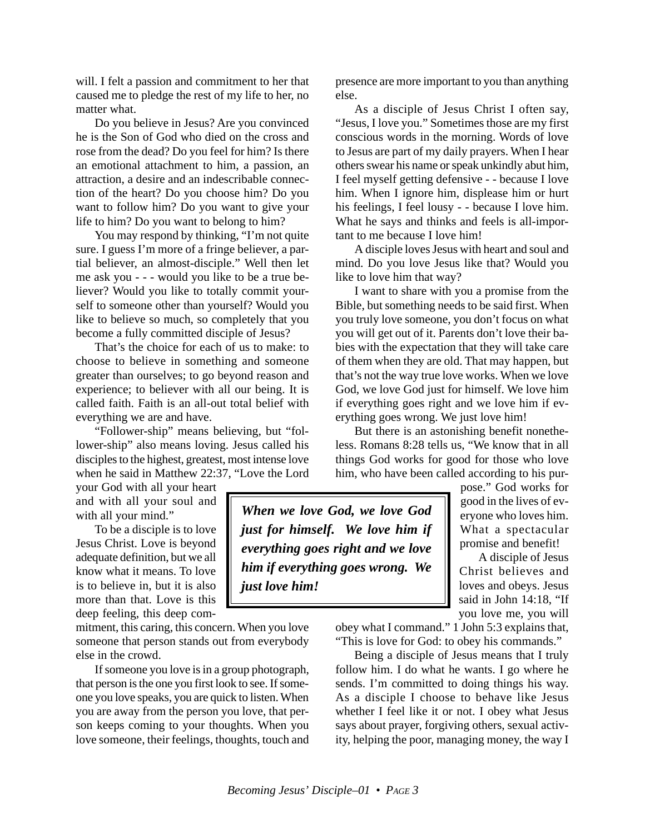will. I felt a passion and commitment to her that caused me to pledge the rest of my life to her, no matter what.

Do you believe in Jesus? Are you convinced he is the Son of God who died on the cross and rose from the dead? Do you feel for him? Is there an emotional attachment to him, a passion, an attraction, a desire and an indescribable connection of the heart? Do you choose him? Do you want to follow him? Do you want to give your life to him? Do you want to belong to him?

You may respond by thinking, "I'm not quite sure. I guess I'm more of a fringe believer, a partial believer, an almost-disciple." Well then let me ask you - - - would you like to be a true believer? Would you like to totally commit yourself to someone other than yourself? Would you like to believe so much, so completely that you become a fully committed disciple of Jesus?

That's the choice for each of us to make: to choose to believe in something and someone greater than ourselves; to go beyond reason and experience; to believer with all our being. It is called faith. Faith is an all-out total belief with everything we are and have.

"Follower-ship" means believing, but "follower-ship" also means loving. Jesus called his disciples to the highest, greatest, most intense love when he said in Matthew 22:37, "Love the Lord

your God with all your heart and with all your soul and with all your mind."

To be a disciple is to love Jesus Christ. Love is beyond adequate definition, but we all know what it means. To love is to believe in, but it is also more than that. Love is this deep feeling, this deep com-

mitment, this caring, this concern. When you love someone that person stands out from everybody else in the crowd.

If someone you love is in a group photograph, that person is the one you first look to see. If someone you love speaks, you are quick to listen. When you are away from the person you love, that person keeps coming to your thoughts. When you love someone, their feelings, thoughts, touch and presence are more important to you than anything else.

As a disciple of Jesus Christ I often say, "Jesus, I love you." Sometimes those are my first conscious words in the morning. Words of love to Jesus are part of my daily prayers. When I hear others swear his name or speak unkindly abut him, I feel myself getting defensive - - because I love him. When I ignore him, displease him or hurt his feelings, I feel lousy - - because I love him. What he says and thinks and feels is all-important to me because I love him!

A disciple loves Jesus with heart and soul and mind. Do you love Jesus like that? Would you like to love him that way?

I want to share with you a promise from the Bible, but something needs to be said first. When you truly love someone, you don't focus on what you will get out of it. Parents don't love their babies with the expectation that they will take care of them when they are old. That may happen, but that's not the way true love works. When we love God, we love God just for himself. We love him if everything goes right and we love him if everything goes wrong. We just love him!

But there is an astonishing benefit nonetheless. Romans 8:28 tells us, "We know that in all things God works for good for those who love him, who have been called according to his pur-

*When we love God, we love God just for himself. We love him if everything goes right and we love him if everything goes wrong. We just love him!*

pose." God works for good in the lives of everyone who loves him. What a spectacular promise and benefit!

A disciple of Jesus Christ believes and loves and obeys. Jesus said in John 14:18, "If you love me, you will

obey what I command." 1 John 5:3 explains that, "This is love for God: to obey his commands."

Being a disciple of Jesus means that I truly follow him. I do what he wants. I go where he sends. I'm committed to doing things his way. As a disciple I choose to behave like Jesus whether I feel like it or not. I obey what Jesus says about prayer, forgiving others, sexual activity, helping the poor, managing money, the way I